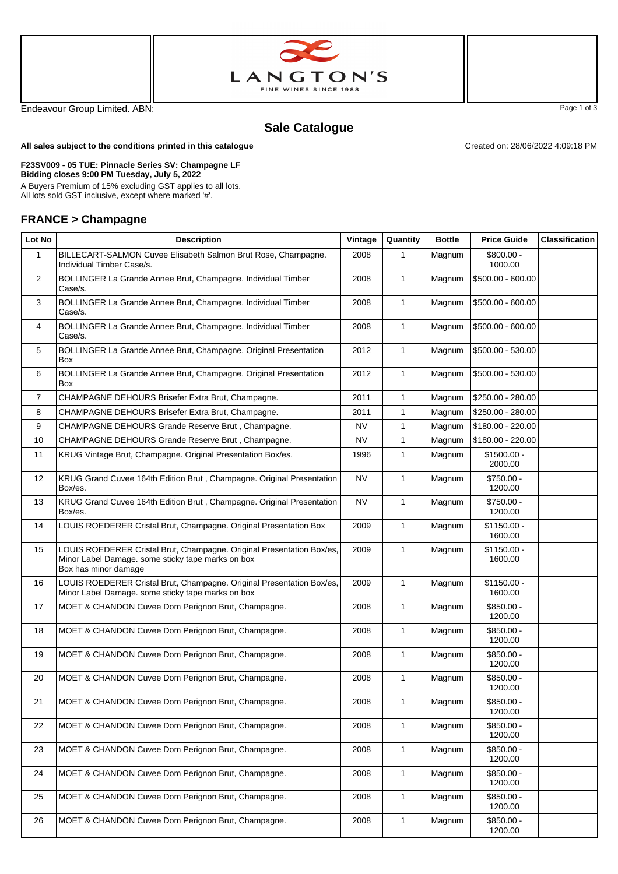



Endeavour Group Limited. ABN: Page 1 of 3

## **Sale Catalogue**

Created on: 28/06/2022 4:09:18 PM

**All sales subject to the conditions printed in this catalogue**

## **F23SV009 - 05 TUE: Pinnacle Series SV: Champagne LF Bidding closes 9:00 PM Tuesday, July 5, 2022**

A Buyers Premium of 15% excluding GST applies to all lots. All lots sold GST inclusive, except where marked '#'.

## **FRANCE > Champagne**

| Lot No         | <b>Description</b>                                                                                                                                 | Vintage   | Quantity     | <b>Bottle</b> | <b>Price Guide</b>      | <b>Classification</b> |
|----------------|----------------------------------------------------------------------------------------------------------------------------------------------------|-----------|--------------|---------------|-------------------------|-----------------------|
| 1              | BILLECART-SALMON Cuvee Elisabeth Salmon Brut Rose, Champagne.<br>Individual Timber Case/s.                                                         | 2008      | 1            | Magnum        | $$800.00 -$<br>1000.00  |                       |
| 2              | BOLLINGER La Grande Annee Brut, Champagne. Individual Timber<br>Case/s.                                                                            | 2008      | $\mathbf{1}$ | Magnum        | $$500.00 - 600.00$      |                       |
| 3              | BOLLINGER La Grande Annee Brut, Champagne. Individual Timber<br>Case/s.                                                                            | 2008      | $\mathbf{1}$ | Magnum        | $$500.00 - 600.00$      |                       |
| 4              | BOLLINGER La Grande Annee Brut, Champagne. Individual Timber<br>Case/s.                                                                            | 2008      | $\mathbf{1}$ | Magnum        | \$500.00 - 600.00       |                       |
| 5              | BOLLINGER La Grande Annee Brut, Champagne. Original Presentation<br><b>Box</b>                                                                     | 2012      | $\mathbf{1}$ | Magnum        | \$500.00 - 530.00       |                       |
| 6              | BOLLINGER La Grande Annee Brut, Champagne. Original Presentation<br>Box                                                                            | 2012      | 1            | Magnum        | \$500.00 - 530.00       |                       |
| $\overline{7}$ | CHAMPAGNE DEHOURS Brisefer Extra Brut, Champagne.                                                                                                  | 2011      | $\mathbf{1}$ | Magnum        | \$250.00 - 280.00       |                       |
| 8              | CHAMPAGNE DEHOURS Brisefer Extra Brut, Champagne.                                                                                                  | 2011      | 1            | Magnum        | \$250.00 - 280.00       |                       |
| 9              | CHAMPAGNE DEHOURS Grande Reserve Brut, Champagne.                                                                                                  | <b>NV</b> | 1            | Magnum        | \$180.00 - 220.00       |                       |
| 10             | CHAMPAGNE DEHOURS Grande Reserve Brut, Champagne.                                                                                                  | <b>NV</b> | 1            | Magnum        | \$180.00 - 220.00       |                       |
| 11             | KRUG Vintage Brut, Champagne. Original Presentation Box/es.                                                                                        | 1996      | 1            | Magnum        | $$1500.00 -$<br>2000.00 |                       |
| 12             | KRUG Grand Cuvee 164th Edition Brut, Champagne. Original Presentation<br>Box/es.                                                                   | <b>NV</b> | 1            | Magnum        | $$750.00 -$<br>1200.00  |                       |
| 13             | KRUG Grand Cuvee 164th Edition Brut, Champagne. Original Presentation<br>Box/es.                                                                   | <b>NV</b> | $\mathbf{1}$ | Magnum        | $$750.00 -$<br>1200.00  |                       |
| 14             | LOUIS ROEDERER Cristal Brut, Champagne. Original Presentation Box                                                                                  | 2009      | $\mathbf{1}$ | Magnum        | $$1150.00 -$<br>1600.00 |                       |
| 15             | LOUIS ROEDERER Cristal Brut, Champagne. Original Presentation Box/es,<br>Minor Label Damage. some sticky tape marks on box<br>Box has minor damage | 2009      | $\mathbf{1}$ | Magnum        | $$1150.00 -$<br>1600.00 |                       |
| 16             | LOUIS ROEDERER Cristal Brut, Champagne. Original Presentation Box/es,<br>Minor Label Damage. some sticky tape marks on box                         | 2009      | $\mathbf{1}$ | Magnum        | $$1150.00 -$<br>1600.00 |                       |
| 17             | MOET & CHANDON Cuvee Dom Perignon Brut, Champagne.                                                                                                 | 2008      | $\mathbf{1}$ | Magnum        | $$850.00 -$<br>1200.00  |                       |
| 18             | MOET & CHANDON Cuvee Dom Perignon Brut, Champagne.                                                                                                 | 2008      | $\mathbf{1}$ | Magnum        | $$850.00 -$<br>1200.00  |                       |
| 19             | MOET & CHANDON Cuvee Dom Perignon Brut, Champagne.                                                                                                 | 2008      | 1            | Magnum        | $$850.00 -$<br>1200.00  |                       |
| 20             | MOET & CHANDON Cuvee Dom Perignon Brut, Champagne.                                                                                                 | 2008      | $\mathbf{1}$ | Magnum        | $$850.00 -$<br>1200.00  |                       |
| 21             | MOET & CHANDON Cuvee Dom Perignon Brut, Champagne.                                                                                                 | 2008      | 1            | Magnum        | \$850.00 -<br>1200.00   |                       |
| 22             | MOET & CHANDON Cuvee Dom Perignon Brut, Champagne.                                                                                                 | 2008      | $\mathbf{1}$ | Magnum        | $$850.00 -$<br>1200.00  |                       |
| 23             | MOET & CHANDON Cuvee Dom Perignon Brut, Champagne.                                                                                                 | 2008      | $\mathbf{1}$ | Magnum        | $$850.00 -$<br>1200.00  |                       |
| 24             | MOET & CHANDON Cuvee Dom Perignon Brut, Champagne.                                                                                                 | 2008      | $\mathbf{1}$ | Magnum        | $$850.00 -$<br>1200.00  |                       |
| 25             | MOET & CHANDON Cuvee Dom Perignon Brut, Champagne.                                                                                                 | 2008      | $\mathbf{1}$ | Magnum        | $$850.00 -$<br>1200.00  |                       |
| 26             | MOET & CHANDON Cuvee Dom Perignon Brut, Champagne.                                                                                                 | 2008      | $\mathbf{1}$ | Magnum        | $$850.00 -$<br>1200.00  |                       |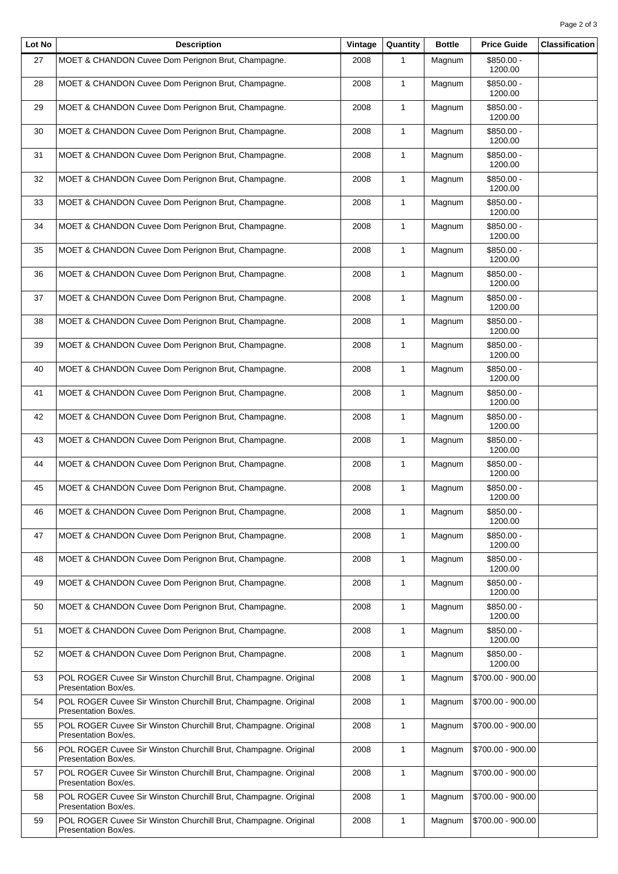| Lot No | <b>Description</b>                                                                      | Vintage | Quantity     | <b>Bottle</b> | <b>Price Guide</b>     | <b>Classification</b> |
|--------|-----------------------------------------------------------------------------------------|---------|--------------|---------------|------------------------|-----------------------|
| 27     | MOET & CHANDON Cuvee Dom Perignon Brut, Champagne.                                      | 2008    | $\mathbf{1}$ | Magnum        | \$850.00 -<br>1200.00  |                       |
| 28     | MOET & CHANDON Cuvee Dom Perignon Brut, Champagne.                                      | 2008    | $\mathbf{1}$ | Magnum        | $$850.00 -$<br>1200.00 |                       |
| 29     | MOET & CHANDON Cuvee Dom Perignon Brut, Champagne.                                      | 2008    | $\mathbf{1}$ | Magnum        | \$850.00 -<br>1200.00  |                       |
| 30     | MOET & CHANDON Cuvee Dom Perignon Brut, Champagne.                                      | 2008    | $\mathbf{1}$ | Magnum        | \$850.00 -<br>1200.00  |                       |
| 31     | MOET & CHANDON Cuvee Dom Perignon Brut, Champagne.                                      | 2008    | 1            | Magnum        | \$850.00 -<br>1200.00  |                       |
| 32     | MOET & CHANDON Cuvee Dom Perignon Brut, Champagne.                                      | 2008    | $\mathbf{1}$ | Magnum        | $$850.00 -$<br>1200.00 |                       |
| 33     | MOET & CHANDON Cuvee Dom Perignon Brut, Champagne.                                      | 2008    | $\mathbf{1}$ | Magnum        | $$850.00 -$<br>1200.00 |                       |
| 34     | MOET & CHANDON Cuvee Dom Perignon Brut, Champagne.                                      | 2008    | $\mathbf{1}$ | Magnum        | \$850.00 -<br>1200.00  |                       |
| 35     | MOET & CHANDON Cuvee Dom Perignon Brut, Champagne.                                      | 2008    | $\mathbf{1}$ | Magnum        | \$850.00 -<br>1200.00  |                       |
| 36     | MOET & CHANDON Cuvee Dom Perignon Brut, Champagne.                                      | 2008    | $\mathbf{1}$ | Magnum        | $$850.00 -$<br>1200.00 |                       |
| 37     | MOET & CHANDON Cuvee Dom Perignon Brut, Champagne.                                      | 2008    | $\mathbf{1}$ | Magnum        | $$850.00 -$<br>1200.00 |                       |
| 38     | MOET & CHANDON Cuvee Dom Perignon Brut, Champagne.                                      | 2008    | $\mathbf{1}$ | Magnum        | \$850.00 -<br>1200.00  |                       |
| 39     | MOET & CHANDON Cuvee Dom Perignon Brut, Champagne.                                      | 2008    | $\mathbf{1}$ | Magnum        | $$850.00 -$<br>1200.00 |                       |
| 40     | MOET & CHANDON Cuvee Dom Perignon Brut, Champagne.                                      | 2008    | $\mathbf{1}$ | Magnum        | \$850.00 -<br>1200.00  |                       |
| 41     | MOET & CHANDON Cuvee Dom Perignon Brut, Champagne.                                      | 2008    | $\mathbf{1}$ | Magnum        | \$850.00 -<br>1200.00  |                       |
| 42     | MOET & CHANDON Cuvee Dom Perignon Brut, Champagne.                                      | 2008    | $\mathbf{1}$ | Magnum        | \$850.00 -<br>1200.00  |                       |
| 43     | MOET & CHANDON Cuvee Dom Perignon Brut, Champagne.                                      | 2008    | $\mathbf{1}$ | Magnum        | $$850.00 -$<br>1200.00 |                       |
| 44     | MOET & CHANDON Cuvee Dom Perignon Brut, Champagne.                                      | 2008    | $\mathbf{1}$ | Magnum        | $$850.00 -$<br>1200.00 |                       |
| 45     | MOET & CHANDON Cuvee Dom Perignon Brut, Champagne.                                      | 2008    | $\mathbf{1}$ | Magnum        | $$850.00 -$<br>1200.00 |                       |
| 46     | MOET & CHANDON Cuvee Dom Perignon Brut, Champagne.                                      | 2008    | $\mathbf{1}$ | Magnum        | \$850.00 -<br>1200.00  |                       |
| 47     | MOET & CHANDON Cuvee Dom Perignon Brut, Champagne.                                      | 2008    | $\mathbf{1}$ | Magnum        | $$850.00 -$<br>1200.00 |                       |
| 48     | MOET & CHANDON Cuvee Dom Perignon Brut, Champagne.                                      | 2008    | 1            | Magnum        | $$850.00 -$<br>1200.00 |                       |
| 49     | MOET & CHANDON Cuvee Dom Perignon Brut, Champagne.                                      | 2008    | $\mathbf{1}$ | Magnum        | \$850.00 -<br>1200.00  |                       |
| 50     | MOET & CHANDON Cuvee Dom Perignon Brut, Champagne.                                      | 2008    | $\mathbf{1}$ | Magnum        | $$850.00 -$<br>1200.00 |                       |
| 51     | MOET & CHANDON Cuvee Dom Perignon Brut, Champagne.                                      | 2008    | $\mathbf{1}$ | Magnum        | $$850.00 -$<br>1200.00 |                       |
| 52     | MOET & CHANDON Cuvee Dom Perignon Brut, Champagne.                                      | 2008    | $\mathbf{1}$ | Magnum        | \$850.00 -<br>1200.00  |                       |
| 53     | POL ROGER Cuvee Sir Winston Churchill Brut, Champagne. Original<br>Presentation Box/es. | 2008    | 1            | Magnum        | \$700.00 - 900.00      |                       |
| 54     | POL ROGER Cuvee Sir Winston Churchill Brut, Champagne. Original<br>Presentation Box/es. | 2008    | $\mathbf{1}$ | Magnum        | \$700.00 - 900.00      |                       |
| 55     | POL ROGER Cuvee Sir Winston Churchill Brut, Champagne. Original<br>Presentation Box/es. | 2008    | $\mathbf{1}$ | Magnum        | \$700.00 - 900.00      |                       |
| 56     | POL ROGER Cuvee Sir Winston Churchill Brut, Champagne. Original<br>Presentation Box/es. | 2008    | $\mathbf{1}$ | Magnum        | \$700.00 - 900.00      |                       |
| 57     | POL ROGER Cuvee Sir Winston Churchill Brut, Champagne. Original<br>Presentation Box/es. | 2008    | $\mathbf{1}$ | Magnum        | \$700.00 - 900.00      |                       |
| 58     | POL ROGER Cuvee Sir Winston Churchill Brut, Champagne. Original<br>Presentation Box/es. | 2008    | 1            | Magnum        | \$700.00 - 900.00      |                       |
| 59     | POL ROGER Cuvee Sir Winston Churchill Brut, Champagne. Original<br>Presentation Box/es. | 2008    | 1            | Magnum        | \$700.00 - 900.00      |                       |
|        |                                                                                         |         |              |               |                        |                       |

 $\overline{\mathbf{r}}$